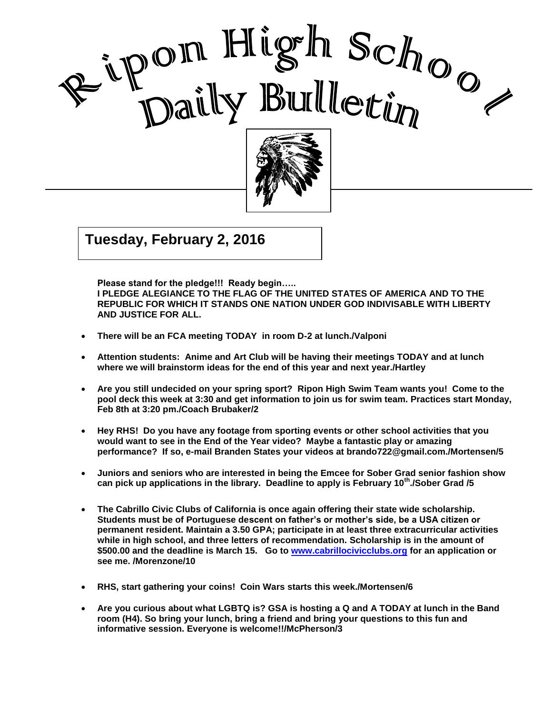



Good Care and Care and Care and Care and Care and Care and Care and Care and Care and Care and Care and Care a<br>Contract of Care and Care and Care and Care and Care and Care and Care and Care and Care and Care and Care and

I

 $\mathcal{G}$   $\mathcal{G}$   $\mathcal{G}$   $\mathcal{G}$   $\mathcal{G}$   $\mathcal{G}$   $\mathcal{G}$   $\mathcal{G}$   $\mathcal{G}$   $\mathcal{G}$   $\mathcal{G}$   $\mathcal{G}$   $\mathcal{G}$   $\mathcal{G}$   $\mathcal{G}$   $\mathcal{G}$   $\mathcal{G}$   $\mathcal{G}$   $\mathcal{G}$   $\mathcal{G}$   $\mathcal{G}$   $\mathcal{G}$   $\mathcal{G}$   $\mathcal{G}$   $\mathcal{$ **Tuesday, February 2, 2016**

**Please stand for the pledge!!! Ready begin….. I PLEDGE ALEGIANCE TO THE FLAG OF THE UNITED STATES OF AMERICA AND TO THE REPUBLIC FOR WHICH IT STANDS ONE NATION UNDER GOD INDIVISABLE WITH LIBERTY AND JUSTICE FOR ALL.**

- **There will be an FCA meeting TODAY in room D-2 at lunch./Valponi**
- **Attention students: Anime and Art Club will be having their meetings TODAY and at lunch where we will brainstorm ideas for the end of this year and next year./Hartley**
- **Are you still undecided on your spring sport? Ripon High Swim Team wants you! Come to the pool deck this week at 3:30 and get information to join us for swim team. Practices start Monday, Feb 8th at 3:20 pm./Coach Brubaker/2**
- **Hey RHS! Do you have any footage from sporting events or other school activities that you would want to see in the End of the Year video? Maybe a fantastic play or amazing performance? If so, e-mail Branden States your videos at brando722@gmail.com./Mortensen/5**
- **Juniors and seniors who are interested in being the Emcee for Sober Grad senior fashion show can pick up applications in the library. Deadline to apply is February 10th./Sober Grad /5**
- **The Cabrillo Civic Clubs of California is once again offering their state wide scholarship. Students must be of Portuguese descent on father's or mother's side, be a USA citizen or permanent resident. Maintain a 3.50 GPA; participate in at least three extracurricular activities while in high school, and three letters of recommendation. Scholarship is in the amount of \$500.00 and the deadline is March 15. Go to [www.cabrillocivicclubs.org](http://www.cabrillocivicclubs.org/) for an application or see me. /Morenzone/10**
- **RHS, start gathering your coins! Coin Wars starts this week./Mortensen/6**
- **Are you curious about what LGBTQ is? GSA is hosting a Q and A TODAY at lunch in the Band room (H4). So bring your lunch, bring a friend and bring your questions to this fun and informative session. Everyone is welcome!!/McPherson/3**